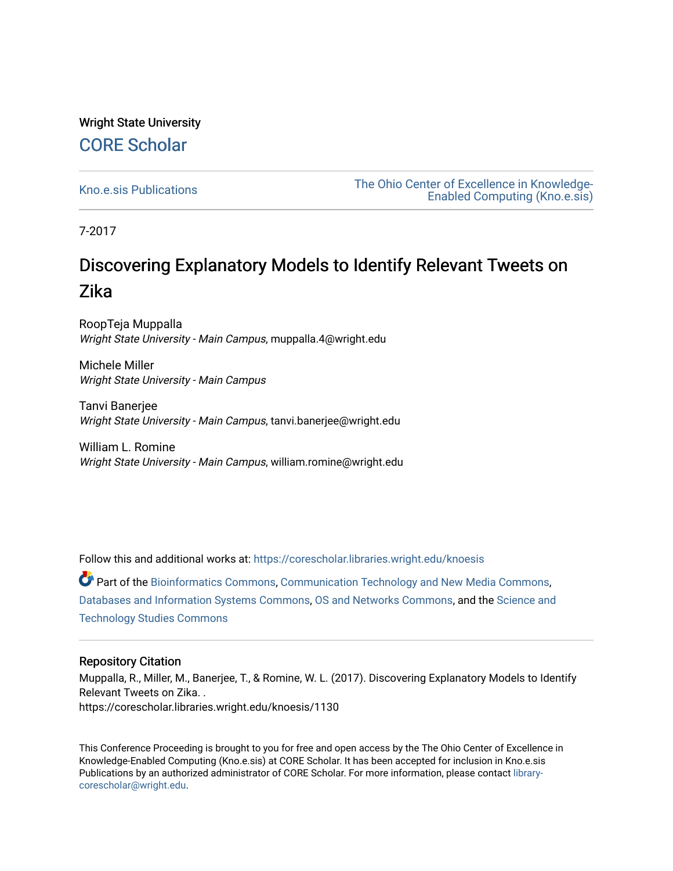## Wright State University [CORE Scholar](https://corescholar.libraries.wright.edu/)

[Kno.e.sis Publications](https://corescholar.libraries.wright.edu/knoesis) [The Ohio Center of Excellence in Knowledge-](https://corescholar.libraries.wright.edu/knoesis_comm)[Enabled Computing \(Kno.e.sis\)](https://corescholar.libraries.wright.edu/knoesis_comm) 

7-2017

# Discovering Explanatory Models to Identify Relevant Tweets on Zika

RoopTeja Muppalla Wright State University - Main Campus, muppalla.4@wright.edu

Michele Miller Wright State University - Main Campus

Tanvi Banerjee Wright State University - Main Campus, tanvi.banerjee@wright.edu

William L. Romine Wright State University - Main Campus, william.romine@wright.edu

Follow this and additional works at: [https://corescholar.libraries.wright.edu/knoesis](https://corescholar.libraries.wright.edu/knoesis?utm_source=corescholar.libraries.wright.edu%2Fknoesis%2F1130&utm_medium=PDF&utm_campaign=PDFCoverPages) 

Part of the [Bioinformatics Commons,](http://network.bepress.com/hgg/discipline/110?utm_source=corescholar.libraries.wright.edu%2Fknoesis%2F1130&utm_medium=PDF&utm_campaign=PDFCoverPages) [Communication Technology and New Media Commons,](http://network.bepress.com/hgg/discipline/327?utm_source=corescholar.libraries.wright.edu%2Fknoesis%2F1130&utm_medium=PDF&utm_campaign=PDFCoverPages) [Databases and Information Systems Commons](http://network.bepress.com/hgg/discipline/145?utm_source=corescholar.libraries.wright.edu%2Fknoesis%2F1130&utm_medium=PDF&utm_campaign=PDFCoverPages), [OS and Networks Commons](http://network.bepress.com/hgg/discipline/149?utm_source=corescholar.libraries.wright.edu%2Fknoesis%2F1130&utm_medium=PDF&utm_campaign=PDFCoverPages), and the [Science and](http://network.bepress.com/hgg/discipline/435?utm_source=corescholar.libraries.wright.edu%2Fknoesis%2F1130&utm_medium=PDF&utm_campaign=PDFCoverPages) [Technology Studies Commons](http://network.bepress.com/hgg/discipline/435?utm_source=corescholar.libraries.wright.edu%2Fknoesis%2F1130&utm_medium=PDF&utm_campaign=PDFCoverPages) 

### Repository Citation

Muppalla, R., Miller, M., Banerjee, T., & Romine, W. L. (2017). Discovering Explanatory Models to Identify Relevant Tweets on Zika. . https://corescholar.libraries.wright.edu/knoesis/1130

This Conference Proceeding is brought to you for free and open access by the The Ohio Center of Excellence in Knowledge-Enabled Computing (Kno.e.sis) at CORE Scholar. It has been accepted for inclusion in Kno.e.sis Publications by an authorized administrator of CORE Scholar. For more information, please contact [library](mailto:library-corescholar@wright.edu)[corescholar@wright.edu](mailto:library-corescholar@wright.edu).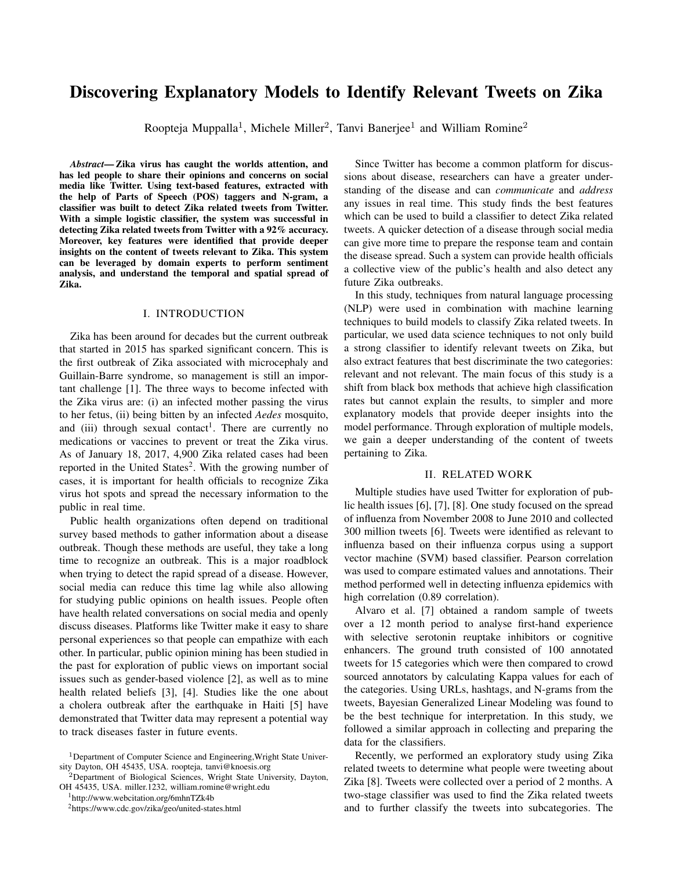## Discovering Explanatory Models to Identify Relevant Tweets on Zika

Roopteja Muppalla<sup>1</sup>, Michele Miller<sup>2</sup>, Tanvi Banerjee<sup>1</sup> and William Romine<sup>2</sup>

*Abstract*— Zika virus has caught the worlds attention, and has led people to share their opinions and concerns on social media like Twitter. Using text-based features, extracted with the help of Parts of Speech (POS) taggers and N-gram, a classifier was built to detect Zika related tweets from Twitter. With a simple logistic classifier, the system was successful in detecting Zika related tweets from Twitter with a 92% accuracy. Moreover, key features were identified that provide deeper insights on the content of tweets relevant to Zika. This system can be leveraged by domain experts to perform sentiment analysis, and understand the temporal and spatial spread of Zika.

#### I. INTRODUCTION

Zika has been around for decades but the current outbreak that started in 2015 has sparked significant concern. This is the first outbreak of Zika associated with microcephaly and Guillain-Barre syndrome, so management is still an important challenge [1]. The three ways to become infected with the Zika virus are: (i) an infected mother passing the virus to her fetus, (ii) being bitten by an infected *Aedes* mosquito, and (iii) through sexual contact<sup>1</sup>. There are currently no medications or vaccines to prevent or treat the Zika virus. As of January 18, 2017, 4,900 Zika related cases had been reported in the United States<sup>2</sup>. With the growing number of cases, it is important for health officials to recognize Zika virus hot spots and spread the necessary information to the public in real time.

Public health organizations often depend on traditional survey based methods to gather information about a disease outbreak. Though these methods are useful, they take a long time to recognize an outbreak. This is a major roadblock when trying to detect the rapid spread of a disease. However, social media can reduce this time lag while also allowing for studying public opinions on health issues. People often have health related conversations on social media and openly discuss diseases. Platforms like Twitter make it easy to share personal experiences so that people can empathize with each other. In particular, public opinion mining has been studied in the past for exploration of public views on important social issues such as gender-based violence [2], as well as to mine health related beliefs [3], [4]. Studies like the one about a cholera outbreak after the earthquake in Haiti [5] have demonstrated that Twitter data may represent a potential way to track diseases faster in future events.

Since Twitter has become a common platform for discussions about disease, researchers can have a greater understanding of the disease and can *communicate* and *address* any issues in real time. This study finds the best features which can be used to build a classifier to detect Zika related tweets. A quicker detection of a disease through social media can give more time to prepare the response team and contain the disease spread. Such a system can provide health officials a collective view of the public's health and also detect any future Zika outbreaks.

In this study, techniques from natural language processing (NLP) were used in combination with machine learning techniques to build models to classify Zika related tweets. In particular, we used data science techniques to not only build a strong classifier to identify relevant tweets on Zika, but also extract features that best discriminate the two categories: relevant and not relevant. The main focus of this study is a shift from black box methods that achieve high classification rates but cannot explain the results, to simpler and more explanatory models that provide deeper insights into the model performance. Through exploration of multiple models, we gain a deeper understanding of the content of tweets pertaining to Zika.

#### II. RELATED WORK

Multiple studies have used Twitter for exploration of public health issues [6], [7], [8]. One study focused on the spread of influenza from November 2008 to June 2010 and collected 300 million tweets [6]. Tweets were identified as relevant to influenza based on their influenza corpus using a support vector machine (SVM) based classifier. Pearson correlation was used to compare estimated values and annotations. Their method performed well in detecting influenza epidemics with high correlation (0.89 correlation).

Alvaro et al. [7] obtained a random sample of tweets over a 12 month period to analyse first-hand experience with selective serotonin reuptake inhibitors or cognitive enhancers. The ground truth consisted of 100 annotated tweets for 15 categories which were then compared to crowd sourced annotators by calculating Kappa values for each of the categories. Using URLs, hashtags, and N-grams from the tweets, Bayesian Generalized Linear Modeling was found to be the best technique for interpretation. In this study, we followed a similar approach in collecting and preparing the data for the classifiers.

Recently, we performed an exploratory study using Zika related tweets to determine what people were tweeting about Zika [8]. Tweets were collected over a period of 2 months. A two-stage classifier was used to find the Zika related tweets and to further classify the tweets into subcategories. The

<sup>&</sup>lt;sup>1</sup>Department of Computer Science and Engineering, Wright State University Dayton, OH 45435, USA. roopteja, tanvi@knoesis.org

<sup>2</sup>Department of Biological Sciences, Wright State University, Dayton, OH 45435, USA. miller.1232, william.romine@wright.edu

<sup>1</sup>http://www.webcitation.org/6mhnTZk4b

<sup>2</sup>https://www.cdc.gov/zika/geo/united-states.html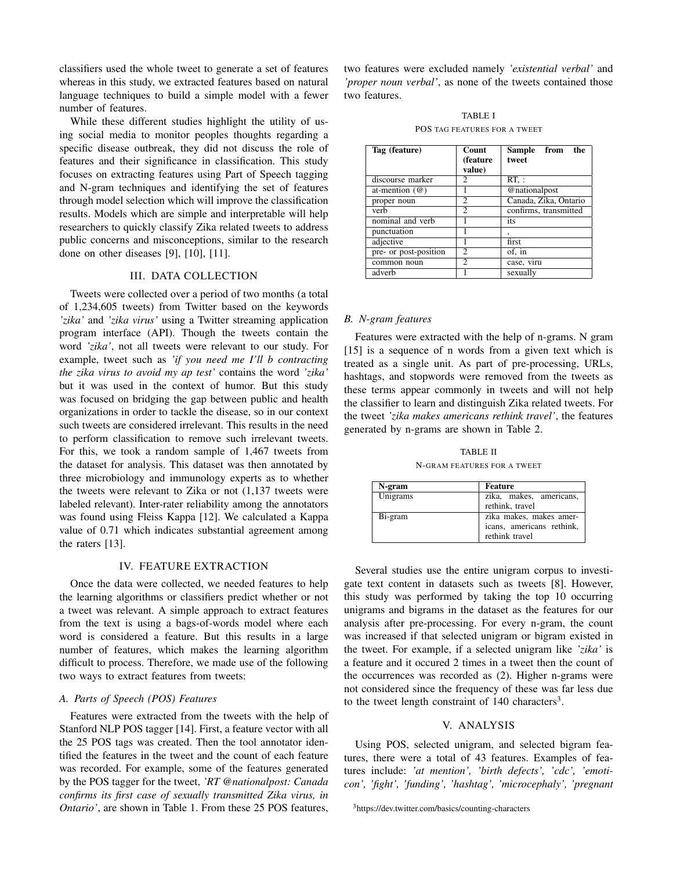classifiers used the whole tweet to generate a set of features whereas in this study, we extracted features based on natural language techniques to build a simple model with a fewer number of features.

While these different studies highlight the utility of using social media to monitor peoples thoughts regarding a specific disease outbreak, they did not discuss the role of features and their significance in classification. This study focuses on extracting features using Part of Speech tagging and N-gram techniques and identifying the set of features through model selection which will improve the classification results. Models which are simple and interpretable will help researchers to quickly classify Zika related tweets to address public concerns and misconceptions, similar to the research done on other diseases [9], [10], [11].

#### III. DATA COLLECTION

Tweets were collected over a period of two months (a total of 1,234,605 tweets) from Twitter based on the keywords *'zika'* and *'zika virus'* using a Twitter streaming application program interface (API). Though the tweets contain the word *'zika'*, not all tweets were relevant to our study. For example, tweet such as *'if you need me I'll b contracting the zika virus to avoid my ap test'* contains the word *'zika'* but it was used in the context of humor. But this study was focused on bridging the gap between public and health organizations in order to tackle the disease, so in our context such tweets are considered irrelevant. This results in the need to perform classification to remove such irrelevant tweets. For this, we took a random sample of 1,467 tweets from the dataset for analysis. This dataset was then annotated by three microbiology and immunology experts as to whether the tweets were relevant to Zika or not (1,137 tweets were labeled relevant). Inter-rater reliability among the annotators was found using Fleiss Kappa [12]. We calculated a Kappa value of 0.71 which indicates substantial agreement among the raters [13].

#### IV. FEATURE EXTRACTION

Once the data were collected, we needed features to help the learning algorithms or classifiers predict whether or not a tweet was relevant. A simple approach to extract features from the text is using a bags-of-words model where each word is considered a feature. But this results in a large number of features, which makes the learning algorithm difficult to process. Therefore, we made use of the following two ways to extract features from tweets:

#### *A. Parts of Speech (POS) Features*

Features were extracted from the tweets with the help of Stanford NLP POS tagger [14]. First, a feature vector with all the 25 POS tags was created. Then the tool annotator identified the features in the tweet and the count of each feature was recorded. For example, some of the features generated by the POS tagger for the tweet, *'RT @nationalpost: Canada confirms its first case of sexually transmitted Zika virus, in Ontario'*, are shown in Table 1. From these 25 POS features,

two features were excluded namely *'existential verbal'* and *'proper noun verbal'*, as none of the tweets contained those two features.

TABLE I

| Tag (feature)              | Count<br>(feature)<br>value) | Sample from the<br>tweet |
|----------------------------|------------------------------|--------------------------|
| discourse marker           | $\mathfrak{D}$               | RT:                      |
| at-mention $(\mathcal{Q})$ |                              | @nationalpost            |
| proper noun                | $\mathfrak{D}$               | Canada, Zika, Ontario    |
| verb                       | $\mathfrak{D}$               | confirms, transmitted    |
| nominal and verb           |                              | its                      |
| punctuation                |                              | ,                        |
| adjective                  |                              | first                    |
| pre- or post-position      | $\overline{c}$               | of, in                   |
| common noun                | 2                            | case, viru               |
| adverb                     |                              | sexually                 |

#### *B. N-gram features*

Features were extracted with the help of n-grams. N gram [15] is a sequence of n words from a given text which is treated as a single unit. As part of pre-processing, URLs, hashtags, and stopwords were removed from the tweets as these terms appear commonly in tweets and will not help the classifier to learn and distinguish Zika related tweets. For the tweet *'zika makes americans rethink travel'*, the features generated by n-grams are shown in Table 2.

TABLE II N-GRAM FEATURES FOR A TWEET

| N-gram   | Feature                                                                |  |
|----------|------------------------------------------------------------------------|--|
| Unigrams | zika, makes, americans,<br>rethink, travel                             |  |
| Bi-gram  | zika makes, makes amer-<br>icans, americans rethink,<br>rethink travel |  |

Several studies use the entire unigram corpus to investigate text content in datasets such as tweets [8]. However, this study was performed by taking the top 10 occurring unigrams and bigrams in the dataset as the features for our analysis after pre-processing. For every n-gram, the count was increased if that selected unigram or bigram existed in the tweet. For example, if a selected unigram like *'zika'* is a feature and it occured 2 times in a tweet then the count of the occurrences was recorded as (2). Higher n-grams were not considered since the frequency of these was far less due to the tweet length constraint of  $140$  characters<sup>3</sup>.

#### V. ANALYSIS

Using POS, selected unigram, and selected bigram features, there were a total of 43 features. Examples of features include: *'at mention', 'birth defects', 'cdc', 'emoticon', 'fight', 'funding', 'hashtag', 'microcephaly', 'pregnant*

<sup>3</sup>https://dev.twitter.com/basics/counting-characters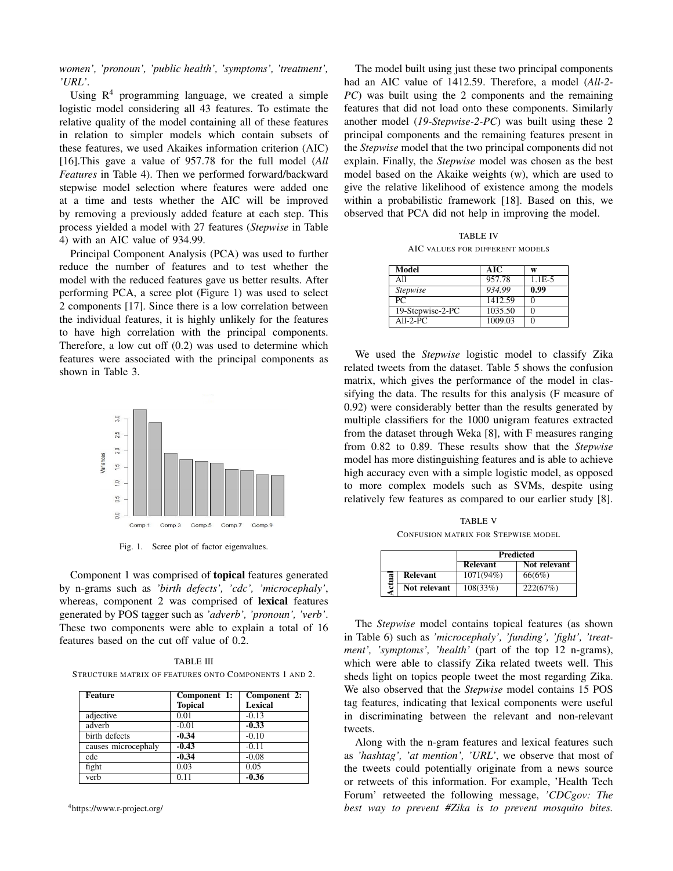*women', 'pronoun', 'public health', 'symptoms', 'treatment', 'URL'*.

Using  $R<sup>4</sup>$  programming language, we created a simple logistic model considering all 43 features. To estimate the relative quality of the model containing all of these features in relation to simpler models which contain subsets of these features, we used Akaikes information criterion (AIC) [16].This gave a value of 957.78 for the full model (*All Features* in Table 4). Then we performed forward/backward stepwise model selection where features were added one at a time and tests whether the AIC will be improved by removing a previously added feature at each step. This process yielded a model with 27 features (*Stepwise* in Table 4) with an AIC value of 934.99.

Principal Component Analysis (PCA) was used to further reduce the number of features and to test whether the model with the reduced features gave us better results. After performing PCA, a scree plot (Figure 1) was used to select 2 components [17]. Since there is a low correlation between the individual features, it is highly unlikely for the features to have high correlation with the principal components. Therefore, a low cut off (0.2) was used to determine which features were associated with the principal components as shown in Table 3.



Fig. 1. Scree plot of factor eigenvalues.

Component 1 was comprised of topical features generated by n-grams such as *'birth defects', 'cdc', 'microcephaly'*, whereas, component 2 was comprised of lexical features generated by POS tagger such as *'adverb', 'pronoun', 'verb'*. These two components were able to explain a total of 16 features based on the cut off value of 0.2.

TABLE III STRUCTURE MATRIX OF FEATURES ONTO COMPONENTS 1 AND 2.

| <b>Feature</b>      | Component 1:<br><b>Topical</b> | Component 2:<br><b>Lexical</b> |
|---------------------|--------------------------------|--------------------------------|
| adjective           | 0.01                           | $-0.13$                        |
| adverb              | $-0.01$                        | $-0.33$                        |
| birth defects       | $-0.34$                        | $-0.10$                        |
| causes microcephaly | $-0.43$                        | $-0.11$                        |
| cdc                 | $-0.34$                        | $-0.08$                        |
| fight               | 0.03                           | 0.05                           |
| verb                | 0.11                           | $-0.36$                        |

<sup>4</sup>https://www.r-project.org/

The model built using just these two principal components had an AIC value of 1412.59. Therefore, a model (*All-2- PC*) was built using the 2 components and the remaining features that did not load onto these components. Similarly another model (*19-Stepwise-2-PC*) was built using these 2 principal components and the remaining features present in the *Stepwise* model that the two principal components did not explain. Finally, the *Stepwise* model was chosen as the best model based on the Akaike weights (w), which are used to give the relative likelihood of existence among the models within a probabilistic framework [18]. Based on this, we observed that PCA did not help in improving the model.

| <b>TABLE IV</b> |  |                                 |  |
|-----------------|--|---------------------------------|--|
|                 |  | AIC values for different models |  |

| Model            | <b>AIC</b> | w        |
|------------------|------------|----------|
| All              | 957.78     | $1.1E-5$ |
| <i>Stepwise</i>  | 934.99     | 0.99     |
| PC.              | 1412.59    |          |
| 19-Stepwise-2-PC | 1035.50    |          |
| $All-2-PC$       | 1009.03    |          |

We used the *Stepwise* logistic model to classify Zika related tweets from the dataset. Table 5 shows the confusion matrix, which gives the performance of the model in classifying the data. The results for this analysis (F measure of 0.92) were considerably better than the results generated by multiple classifiers for the 1000 unigram features extracted from the dataset through Weka [8], with F measures ranging from 0.82 to 0.89. These results show that the *Stepwise* model has more distinguishing features and is able to achieve high accuracy even with a simple logistic model, as opposed to more complex models such as SVMs, despite using relatively few features as compared to our earlier study [8].

TABLE V CONFUSION MATRIX FOR STEPWISE MODEL

|       |              | <b>Predicted</b> |              |
|-------|--------------|------------------|--------------|
|       |              | Relevant         | Not relevant |
| ctual | Relevant     | 1071(94%)        | 66(6%)       |
|       | Not relevant | 108(33%)         | 222(67%)     |

The *Stepwise* model contains topical features (as shown in Table 6) such as *'microcephaly', 'funding', 'fight', 'treatment', 'symptoms', 'health'* (part of the top 12 n-grams), which were able to classify Zika related tweets well. This sheds light on topics people tweet the most regarding Zika. We also observed that the *Stepwise* model contains 15 POS tag features, indicating that lexical components were useful in discriminating between the relevant and non-relevant tweets.

Along with the n-gram features and lexical features such as *'hashtag', 'at mention', 'URL'*, we observe that most of the tweets could potentially originate from a news source or retweets of this information. For example, 'Health Tech Forum' retweeted the following message, *'CDCgov: The best way to prevent #Zika is to prevent mosquito bites.*